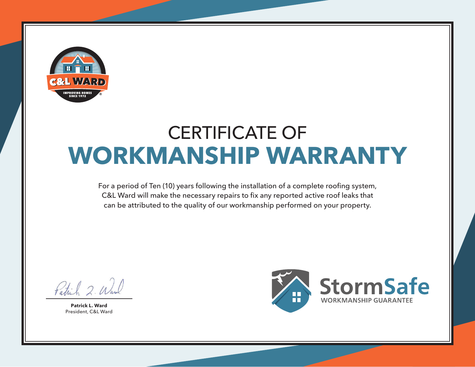

## CERTIFICATE OF **WORKMANSHIP WARRANTY**

For a period of Ten (10) years following the installation of a complete roofing system, C&L Ward will make the necessary repairs to fix any reported active roof leaks that can be attributed to the quality of our workmanship performed on your property.

Patrick 2. Wil

**Patrick L. Ward** President, C&L Ward